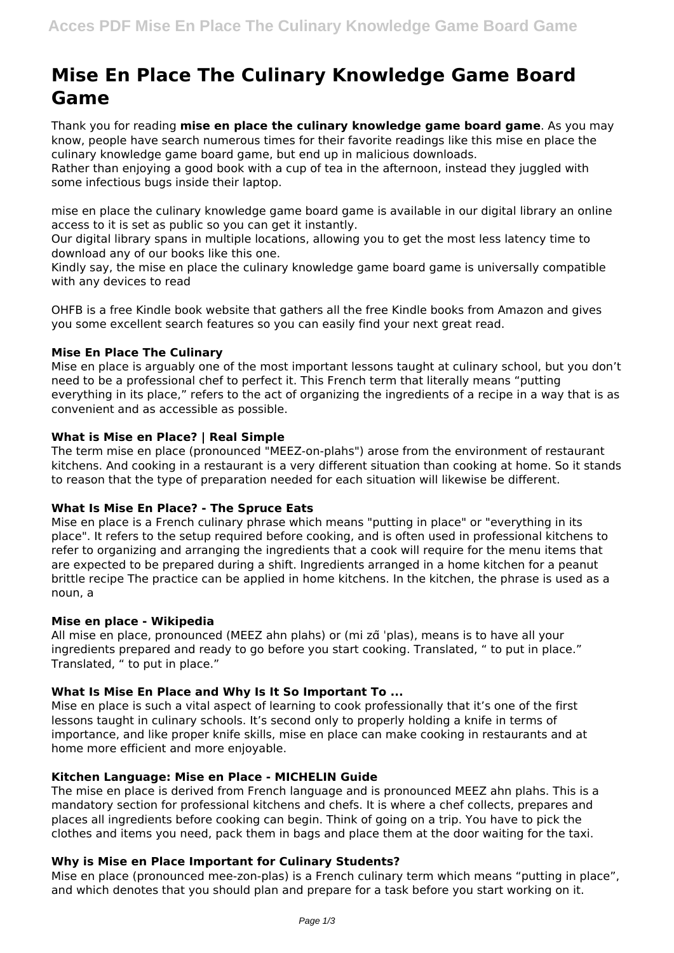# **Mise En Place The Culinary Knowledge Game Board Game**

Thank you for reading **mise en place the culinary knowledge game board game**. As you may know, people have search numerous times for their favorite readings like this mise en place the culinary knowledge game board game, but end up in malicious downloads.

Rather than enjoying a good book with a cup of tea in the afternoon, instead they juggled with some infectious bugs inside their laptop.

mise en place the culinary knowledge game board game is available in our digital library an online access to it is set as public so you can get it instantly.

Our digital library spans in multiple locations, allowing you to get the most less latency time to download any of our books like this one.

Kindly say, the mise en place the culinary knowledge game board game is universally compatible with any devices to read

OHFB is a free Kindle book website that gathers all the free Kindle books from Amazon and gives you some excellent search features so you can easily find your next great read.

# **Mise En Place The Culinary**

Mise en place is arguably one of the most important lessons taught at culinary school, but you don't need to be a professional chef to perfect it. This French term that literally means "putting everything in its place," refers to the act of organizing the ingredients of a recipe in a way that is as convenient and as accessible as possible.

# **What is Mise en Place? | Real Simple**

The term mise en place (pronounced "MEEZ-on-plahs") arose from the environment of restaurant kitchens. And cooking in a restaurant is a very different situation than cooking at home. So it stands to reason that the type of preparation needed for each situation will likewise be different.

#### **What Is Mise En Place? - The Spruce Eats**

Mise en place is a French culinary phrase which means "putting in place" or "everything in its place". It refers to the setup required before cooking, and is often used in professional kitchens to refer to organizing and arranging the ingredients that a cook will require for the menu items that are expected to be prepared during a shift. Ingredients arranged in a home kitchen for a peanut brittle recipe The practice can be applied in home kitchens. In the kitchen, the phrase is used as a noun, a

#### **Mise en place - Wikipedia**

All mise en place, pronounced (MEEZ ahn plahs) or (mi zɑ̃ ˈplas), means is to have all your ingredients prepared and ready to go before you start cooking. Translated, " to put in place." Translated, " to put in place."

#### **What Is Mise En Place and Why Is It So Important To ...**

Mise en place is such a vital aspect of learning to cook professionally that it's one of the first lessons taught in culinary schools. It's second only to properly holding a knife in terms of importance, and like proper knife skills, mise en place can make cooking in restaurants and at home more efficient and more enjoyable.

#### **Kitchen Language: Mise en Place - MICHELIN Guide**

The mise en place is derived from French language and is pronounced MEEZ ahn plahs. This is a mandatory section for professional kitchens and chefs. It is where a chef collects, prepares and places all ingredients before cooking can begin. Think of going on a trip. You have to pick the clothes and items you need, pack them in bags and place them at the door waiting for the taxi.

# **Why is Mise en Place Important for Culinary Students?**

Mise en place (pronounced mee-zon-plas) is a French culinary term which means "putting in place", and which denotes that you should plan and prepare for a task before you start working on it.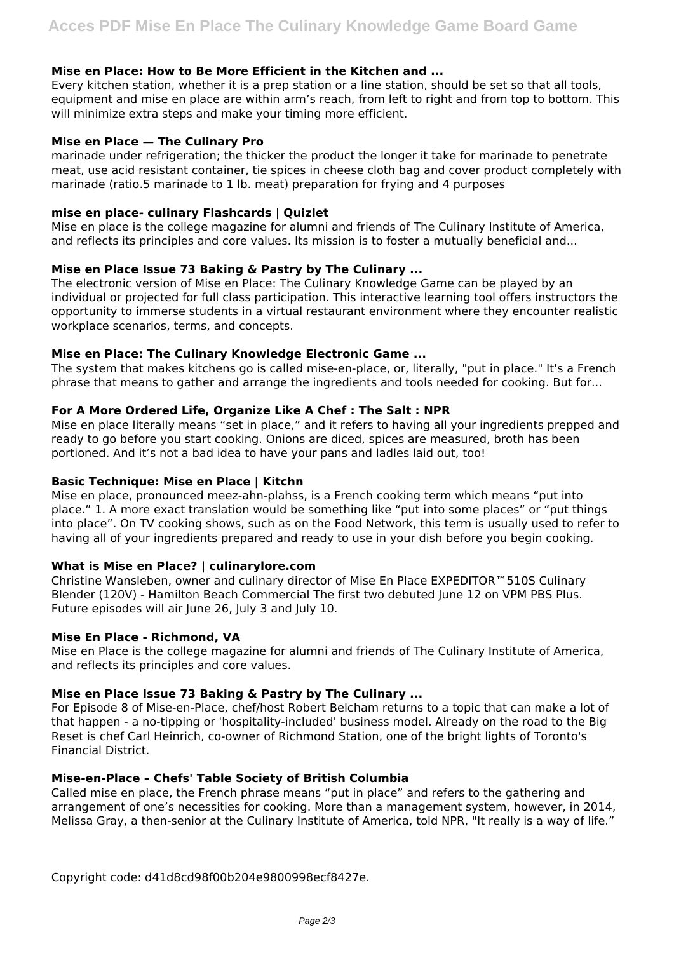## **Mise en Place: How to Be More Efficient in the Kitchen and ...**

Every kitchen station, whether it is a prep station or a line station, should be set so that all tools, equipment and mise en place are within arm's reach, from left to right and from top to bottom. This will minimize extra steps and make your timing more efficient.

### **Mise en Place — The Culinary Pro**

marinade under refrigeration; the thicker the product the longer it take for marinade to penetrate meat, use acid resistant container, tie spices in cheese cloth bag and cover product completely with marinade (ratio.5 marinade to 1 lb. meat) preparation for frying and 4 purposes

## **mise en place- culinary Flashcards | Quizlet**

Mise en place is the college magazine for alumni and friends of The Culinary Institute of America, and reflects its principles and core values. Its mission is to foster a mutually beneficial and...

## **Mise en Place Issue 73 Baking & Pastry by The Culinary ...**

The electronic version of Mise en Place: The Culinary Knowledge Game can be played by an individual or projected for full class participation. This interactive learning tool offers instructors the opportunity to immerse students in a virtual restaurant environment where they encounter realistic workplace scenarios, terms, and concepts.

## **Mise en Place: The Culinary Knowledge Electronic Game ...**

The system that makes kitchens go is called mise-en-place, or, literally, "put in place." It's a French phrase that means to gather and arrange the ingredients and tools needed for cooking. But for...

## **For A More Ordered Life, Organize Like A Chef : The Salt : NPR**

Mise en place literally means "set in place," and it refers to having all your ingredients prepped and ready to go before you start cooking. Onions are diced, spices are measured, broth has been portioned. And it's not a bad idea to have your pans and ladles laid out, too!

### **Basic Technique: Mise en Place | Kitchn**

Mise en place, pronounced meez-ahn-plahss, is a French cooking term which means "put into place." 1. A more exact translation would be something like "put into some places" or "put things into place". On TV cooking shows, such as on the Food Network, this term is usually used to refer to having all of your ingredients prepared and ready to use in your dish before you begin cooking.

# **What is Mise en Place? | culinarylore.com**

Christine Wansleben, owner and culinary director of Mise En Place EXPEDITOR™510S Culinary Blender (120V) - Hamilton Beach Commercial The first two debuted June 12 on VPM PBS Plus. Future episodes will air June 26, July 3 and July 10.

#### **Mise En Place - Richmond, VA**

Mise en Place is the college magazine for alumni and friends of The Culinary Institute of America, and reflects its principles and core values.

# **Mise en Place Issue 73 Baking & Pastry by The Culinary ...**

For Episode 8 of Mise-en-Place, chef/host Robert Belcham returns to a topic that can make a lot of that happen - a no-tipping or 'hospitality-included' business model. Already on the road to the Big Reset is chef Carl Heinrich, co-owner of Richmond Station, one of the bright lights of Toronto's Financial District.

#### **Mise-en-Place – Chefs' Table Society of British Columbia**

Called mise en place, the French phrase means "put in place" and refers to the gathering and arrangement of one's necessities for cooking. More than a management system, however, in 2014, Melissa Gray, a then-senior at the Culinary Institute of America, told NPR, "It really is a way of life."

Copyright code: d41d8cd98f00b204e9800998ecf8427e.